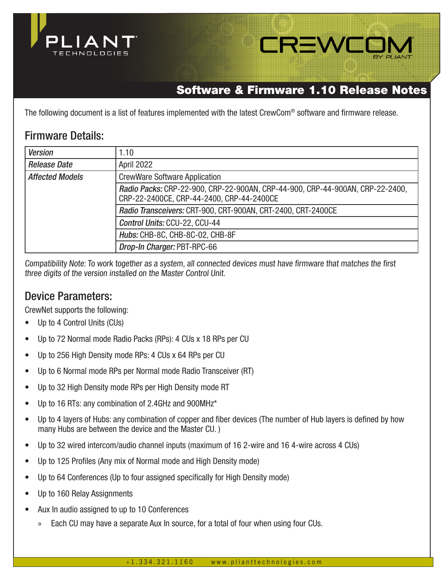



# Software & Firmware 1.10 Release Notes

The following document is a list of features implemented with the latest CrewCom® software and firmware release.

## Firmware Details:

| <b>Version</b>         | 1.10                                                                                                                       |  |  |  |
|------------------------|----------------------------------------------------------------------------------------------------------------------------|--|--|--|
| <b>Release Date</b>    | April 2022                                                                                                                 |  |  |  |
| <b>Affected Models</b> | <b>CrewWare Software Application</b>                                                                                       |  |  |  |
|                        | Radio Packs: CRP-22-900, CRP-22-900AN, CRP-44-900, CRP-44-900AN, CRP-22-2400,<br>CRP-22-2400CE, CRP-44-2400, CRP-44-2400CE |  |  |  |
|                        | Radio Transceivers: CRT-900, CRT-900AN, CRT-2400, CRT-2400CE                                                               |  |  |  |
|                        | Control Units: CCU-22, CCU-44                                                                                              |  |  |  |
|                        | Hubs: CHB-8C, CHB-8C-02, CHB-8F                                                                                            |  |  |  |
|                        | Drop-In Charger: PBT-RPC-66                                                                                                |  |  |  |

Compatibility Note: To work together as a system, all connected devices must have firmware that matches the first three digits of the version installed on the Master Control Unit.

## Device Parameters:

CrewNet supports the following:

- Up to 4 Control Units (CUs)
- Up to 72 Normal mode Radio Packs (RPs): 4 CUs x 18 RPs per CU
- Up to 256 High Density mode RPs: 4 CUs x 64 RPs per CU
- Up to 6 Normal mode RPs per Normal mode Radio Transceiver (RT)
- Up to 32 High Density mode RPs per High Density mode RT
- Up to 16 RTs: any combination of 2.4GHz and 900MHz\*
- Up to 4 layers of Hubs: any combination of copper and fiber devices (The number of Hub layers is defined by how many Hubs are between the device and the Master CU. )
- Up to 32 wired intercom/audio channel inputs (maximum of 16 2-wire and 16 4-wire across 4 CUs)
- Up to 125 Profiles (Any mix of Normal mode and High Density mode)
- Up to 64 Conferences (Up to four assigned specifically for High Density mode)
- Up to 160 Relay Assignments
- Aux In audio assigned to up to 10 Conferences
	- » Each CU may have a separate Aux In source, for a total of four when using four CUs.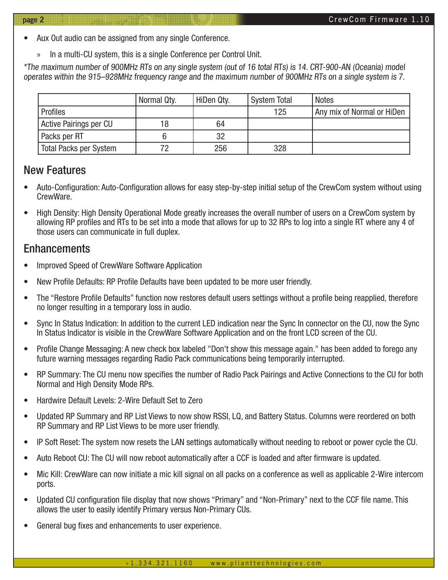- Aux Out audio can be assigned from any single Conference.
	- » In a multi-CU system, this is a single Conference per Control Unit.

\*The maximum number of 900MHz RTs on any single system (out of 16 total RTs) is 14. CRT-900-AN (Oceania) model operates within the 915–928MHz frequency range and the maximum number of 900MHz RTs on a single system is 7.

|                               | Normal Qty. | HiDen Qty. | System Total | <b>Notes</b>               |
|-------------------------------|-------------|------------|--------------|----------------------------|
| Profiles                      |             |            | 125          | Any mix of Normal or HiDen |
| Active Pairings per CU        | 18          | 64         |              |                            |
| Packs per RT                  |             | 32         |              |                            |
| <b>Total Packs per System</b> |             | 256        | 328          |                            |

#### New Features

- Auto-Configuration: Auto-Configuration allows for easy step-by-step initial setup of the CrewCom system without using CrewWare.
- High Density: High Density Operational Mode greatly increases the overall number of users on a CrewCom system by allowing RP profiles and RTs to be set into a mode that allows for up to 32 RPs to log into a single RT where any 4 of those users can communicate in full duplex.

## **Enhancements**

- Improved Speed of CrewWare Software Application
- New Profile Defaults: RP Profile Defaults have been updated to be more user friendly.
- The "Restore Profile Defaults" function now restores default users settings without a profile being reapplied, therefore no longer resulting in a temporary loss in audio.
- Sync In Status Indication: In addition to the current LED indication near the Sync In connector on the CU, now the Sync In Status Indicator is visible in the CrewWare Software Application and on the front LCD screen of the CU.
- Profile Change Messaging: A new check box labeled "Don't show this message again." has been added to forego any future warning messages regarding Radio Pack communications being temporarily interrupted.
- RP Summary: The CU menu now specifies the number of Radio Pack Pairings and Active Connections to the CU for both Normal and High Density Mode RPs.
- Hardwire Default Levels: 2-Wire Default Set to Zero
- Updated RP Summary and RP List Views to now show RSSI, LQ, and Battery Status. Columns were reordered on both RP Summary and RP List Views to be more user friendly.
- IP Soft Reset: The system now resets the LAN settings automatically without needing to reboot or power cycle the CU.
- Auto Reboot CU: The CU will now reboot automatically after a CCF is loaded and after firmware is updated.
- Mic Kill: CrewWare can now initiate a mic kill signal on all packs on a conference as well as applicable 2-Wire intercom ports.
- Updated CU configuration file display that now shows "Primary" and "Non-Primary" next to the CCF file name. This allows the user to easily identify Primary versus Non-Primary CUs.
- General bug fixes and enhancements to user experience.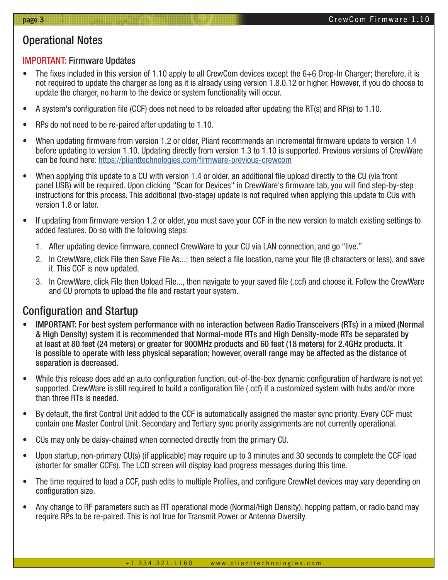# Operational Notes

#### IMPORTANT: Firmware Updates

- The fixes included in this version of 1.10 apply to all CrewCom devices except the 6+6 Drop-In Charger; therefore, it is not required to update the charger as long as it is already using version 1.8.0.12 or higher. However, if you do choose to update the charger, no harm to the device or system functionality will occur.
- A system's configuration file (CCF) does not need to be reloaded after updating the RT(s) and RP(s) to 1.10.
- RPs do not need to be re-paired after updating to 1.10.
- When updating firmware from version 1.2 or older, Pliant recommends an incremental firmware update to version 1.4 before updating to version 1.10. Updating directly from version 1.3 to 1.10 is supported. Previous versions of CrewWare can be found here: https://plianttechnologies.com/firmware-previous-crewcom
- When applying this update to a CU with version 1.4 or older, an additional file upload directly to the CU (via front panel USB) will be required. Upon clicking "Scan for Devices" in CrewWare's firmware tab, you will find step-by-step instructions for this process. This additional (two-stage) update is not required when applying this update to CUs with version 1.8 or later.
- If updating from firmware version 1.2 or older, you must save your CCF in the new version to match existing settings to added features. Do so with the following steps:
	- 1. After updating device firmware, connect CrewWare to your CU via LAN connection, and go "live."
	- 2. In CrewWare, click File then Save File As...; then select a file location, name your file (8 characters or less), and save it. This CCF is now updated.
	- 3. In CrewWare, click File then Upload File..., then navigate to your saved file (.ccf) and choose it. Follow the CrewWare and CU prompts to upload the file and restart your system.

## Configuration and Startup

- IMPORTANT: For best system performance with no interaction between Radio Transceivers (RTs) in a mixed (Normal & High Density) system it is recommended that Normal-mode RTs and High Density-mode RTs be separated by at least at 80 feet (24 meters) or greater for 900MHz products and 60 feet (18 meters) for 2.4GHz products. It is possible to operate with less physical separation; however, overall range may be affected as the distance of separation is decreased.
- While this release does add an auto configuration function, out-of-the-box dynamic configuration of hardware is not yet supported. CrewWare is still required to build a configuration file (.ccf) if a customized system with hubs and/or more than three RTs is needed.
- By default, the first Control Unit added to the CCF is automatically assigned the master sync priority. Every CCF must contain one Master Control Unit. Secondary and Tertiary sync priority assignments are not currently operational.
- CUs may only be daisy-chained when connected directly from the primary CU.
- Upon startup, non-primary CU(s) (if applicable) may require up to 3 minutes and 30 seconds to complete the CCF load (shorter for smaller CCFs). The LCD screen will display load progress messages during this time.
- The time required to load a CCF, push edits to multiple Profiles, and configure CrewNet devices may vary depending on configuration size.
- Any change to RF parameters such as RT operational mode (Normal/High Density), hopping pattern, or radio band may require RPs to be re-paired. This is not true for Transmit Power or Antenna Diversity.